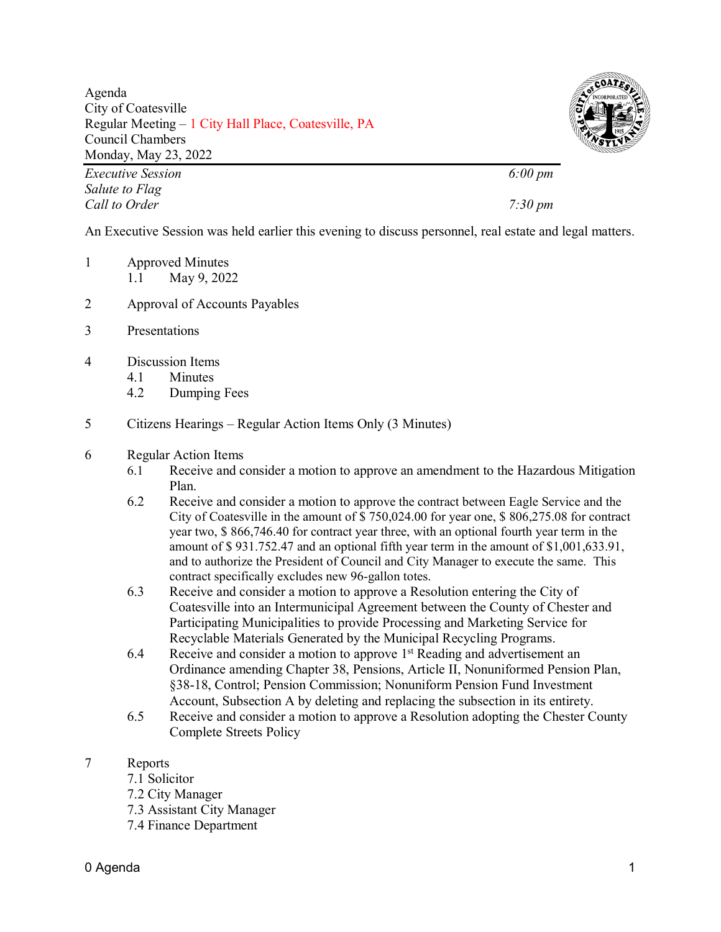Agenda City of Coatesville Regular Meeting – 1 City Hall Place, Coatesville, PA Council Chambers Monday, May 23, 2022



*Executive Session 6:00 pm Salute to Flag Call to Order 7:30 pm*

An Executive Session was held earlier this evening to discuss personnel, real estate and legal matters.

- 1 Approved Minutes 1.1 May 9, 2022
- 2 Approval of Accounts Payables
- 3 Presentations
- 4 Discussion Items
	- 4.1 Minutes
	- 4.2 Dumping Fees
- 5 Citizens Hearings Regular Action Items Only (3 Minutes)

## 6 Regular Action Items

- 6.1 Receive and consider a motion to approve an amendment to the Hazardous Mitigation Plan.
- 6.2 Receive and consider a motion to approve the contract between Eagle Service and the City of Coatesville in the amount of \$ 750,024.00 for year one, \$ 806,275.08 for contract year two, \$ 866,746.40 for contract year three, with an optional fourth year term in the amount of \$ 931.752.47 and an optional fifth year term in the amount of \$1,001,633.91, and to authorize the President of Council and City Manager to execute the same. This contract specifically excludes new 96-gallon totes.
- 6.3 Receive and consider a motion to approve a Resolution entering the City of Coatesville into an Intermunicipal Agreement between the County of Chester and Participating Municipalities to provide Processing and Marketing Service for Recyclable Materials Generated by the Municipal Recycling Programs.
- 6.4 Receive and consider a motion to approve  $1<sup>st</sup>$  Reading and advertisement an Ordinance amending Chapter 38, Pensions, Article II, Nonuniformed Pension Plan, §38-18, Control; Pension Commission; Nonuniform Pension Fund Investment Account, Subsection A by deleting and replacing the subsection in its entirety.
- 6.5 Receive and consider a motion to approve a Resolution adopting the Chester County Complete Streets Policy
- 7 Reports
	- 7.1 Solicitor
	- 7.2 City Manager
	- 7.3 Assistant City Manager
	- 7.4 Finance Department